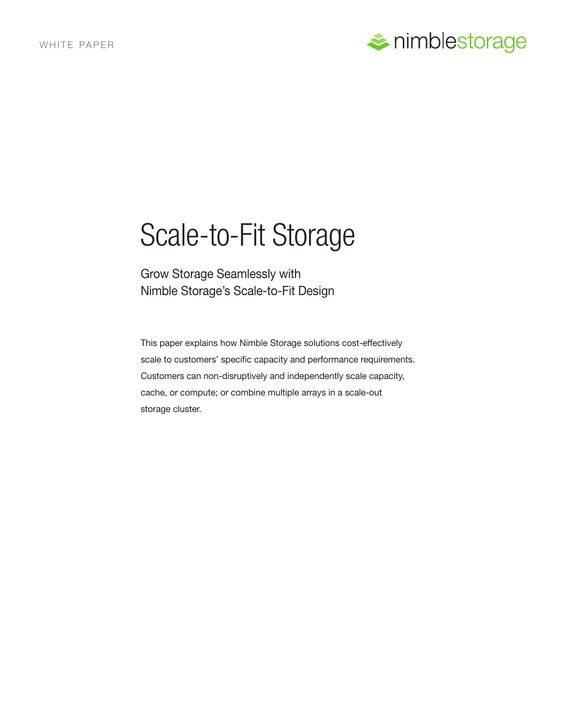

# Scale-to-Fit Storage

Grow Storage Seamlessly with Nimble Storage's Scale-to-Fit Design

This paper explains how Nimble Storage solutions cost-effectively scale to customers' specific capacity and performance requirements. Customers can non-disruptively and independently scale capacity, cache, or compute; or combine multiple arrays in a scale-out storage cluster.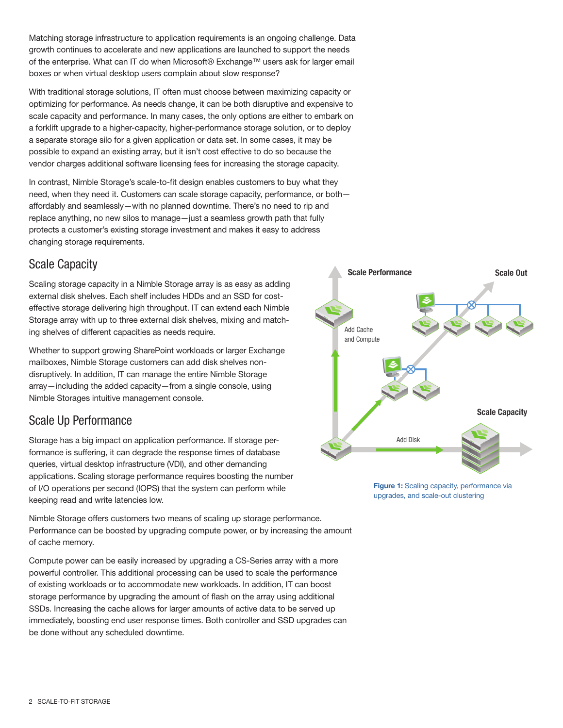Matching storage infrastructure to application requirements is an ongoing challenge. Data growth continues to accelerate and new applications are launched to support the needs of the enterprise. What can IT do when Microsoft® Exchange™ users ask for larger email boxes or when virtual desktop users complain about slow response?

With traditional storage solutions, IT often must choose between maximizing capacity or optimizing for performance. As needs change, it can be both disruptive and expensive to scale capacity and performance. In many cases, the only options are either to embark on a forklift upgrade to a higher-capacity, higher-performance storage solution, or to deploy a separate storage silo for a given application or data set. In some cases, it may be possible to expand an existing array, but it isn't cost effective to do so because the vendor charges additional software licensing fees for increasing the storage capacity.

In contrast, Nimble Storage's scale-to-fit design enables customers to buy what they need, when they need it. Customers can scale storage capacity, performance, or both affordably and seamlessly—with no planned downtime. There's no need to rip and replace anything, no new silos to manage—just a seamless growth path that fully protects a customer's existing storage investment and makes it easy to address changing storage requirements.

## Scale Capacity

Scaling storage capacity in a Nimble Storage array is as easy as adding external disk shelves. Each shelf includes HDDs and an SSD for costeffective storage delivering high throughput. IT can extend each Nimble Storage array with up to three external disk shelves, mixing and matching shelves of different capacities as needs require.

Whether to support growing SharePoint workloads or larger Exchange mailboxes, Nimble Storage customers can add disk shelves nondisruptively. In addition, IT can manage the entire Nimble Storage array—including the added capacity—from a single console, using Nimble Storages intuitive management console.

## Scale Up Performance

Storage has a big impact on application performance. If storage performance is suffering, it can degrade the response times of database queries, virtual desktop infrastructure (VDI), and other demanding applications. Scaling storage performance requires boosting the number of I/O operations per second (IOPS) that the system can perform while keeping read and write latencies low.

Nimble Storage offers customers two means of scaling up storage performance. Performance can be boosted by upgrading compute power, or by increasing the amount of cache memory.

Compute power can be easily increased by upgrading a CS-Series array with a more powerful controller. This additional processing can be used to scale the performance of existing workloads or to accommodate new workloads. In addition, IT can boost storage performance by upgrading the amount of flash on the array using additional SSDs. Increasing the cache allows for larger amounts of active data to be served up immediately, boosting end user response times. Both controller and SSD upgrades can be done without any scheduled downtime.



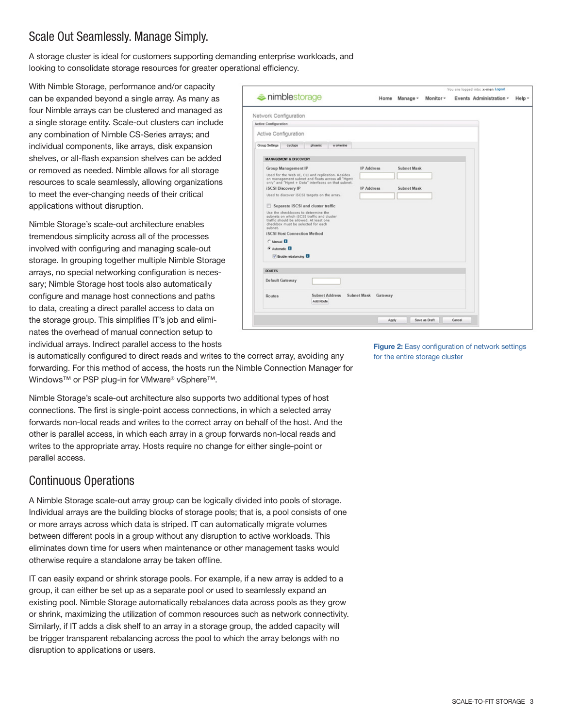# Scale Out Seamlessly. Manage Simply.

A storage cluster is ideal for customers supporting demanding enterprise workloads, and looking to consolidate storage resources for greater operational efficiency.

With Nimble Storage, performance and/or capacity can be expanded beyond a single array. As many as four Nimble arrays can be clustered and managed as a single storage entity. Scale-out clusters can include any combination of Nimble CS-Series arrays; and individual components, like arrays, disk expansion shelves, or all-flash expansion shelves can be added or removed as needed. Nimble allows for all storage resources to scale seamlessly, allowing organizations to meet the ever-changing needs of their critical applications without disruption.

Nimble Storage's scale-out architecture enables tremendous simplicity across all of the processes involved with configuring and managing scale-out storage. In grouping together multiple Nimble Storage arrays, no special networking configuration is necessary; Nimble Storage host tools also automatically configure and manage host connections and paths to data, creating a direct parallel access to data on the storage group. This simplifies IT's job and eliminates the overhead of manual connection setup to individual arrays. Indirect parallel access to the hosts

| imblestorage                                                                                                                                                                  |                     |               |               |        | You are logged into: x-men Logout<br>Events Administration - |        |
|-------------------------------------------------------------------------------------------------------------------------------------------------------------------------------|---------------------|---------------|---------------|--------|--------------------------------------------------------------|--------|
|                                                                                                                                                                               |                     | Home Manage - | Monitor -     |        |                                                              | Help - |
| Network Configuration                                                                                                                                                         |                     |               |               |        |                                                              |        |
| Active Configuration                                                                                                                                                          |                     |               |               |        |                                                              |        |
| Active Configuration                                                                                                                                                          |                     |               |               |        |                                                              |        |
|                                                                                                                                                                               |                     |               |               |        |                                                              |        |
| Group Settings<br>cyclops<br>w olverine<br>phoenix                                                                                                                            |                     |               |               |        |                                                              |        |
| <b>MANAGEMENT &amp; DISCOVERY</b>                                                                                                                                             |                     |               |               |        |                                                              |        |
| Group Management IP                                                                                                                                                           | <b>IP</b> Address   | Subnet Mask   |               |        |                                                              |        |
| Used for the Web UI, CLI and replication. Resides<br>on management subnet and floats across all "Mgmt<br>only" and "Mgmt + Data" interfaces on that subnet.                   |                     |               |               |        |                                                              |        |
| <b>iSCSI</b> Discovery IP                                                                                                                                                     | <b>IP Address</b>   | Subnet Mask   |               |        |                                                              |        |
| Used to discover iSCSI targets on the array.                                                                                                                                  |                     |               |               |        |                                                              |        |
| Separate iSCSI and cluster traffic                                                                                                                                            |                     |               |               |        |                                                              |        |
| Use the checkboxes to determine the<br>subnets on which iSCSI traffic and cluster<br>traffic should be allowed. At least one<br>checkbox must be selected for each<br>subnet. |                     |               |               |        |                                                              |        |
| <b>iSCSI Host Connection Method</b>                                                                                                                                           |                     |               |               |        |                                                              |        |
| C Manual <b>El</b>                                                                                                                                                            |                     |               |               |        |                                                              |        |
| G Automatic <b>El</b>                                                                                                                                                         |                     |               |               |        |                                                              |        |
| <b>V</b> Enable rebalancing <b>ED</b>                                                                                                                                         |                     |               |               |        |                                                              |        |
| <b>ROUTES</b>                                                                                                                                                                 |                     |               |               |        |                                                              |        |
|                                                                                                                                                                               |                     |               |               |        |                                                              |        |
| Default Gateway                                                                                                                                                               |                     |               |               |        |                                                              |        |
| <b>Subnet Address</b><br><b>Routes</b><br>Add Route                                                                                                                           | Subnet Mask Gateway |               |               |        |                                                              |        |
|                                                                                                                                                                               |                     |               | Save as Draft | Cancel |                                                              |        |
|                                                                                                                                                                               | Apply               |               |               |        |                                                              |        |

is automatically configured to direct reads and writes to the correct array, avoiding any forwarding. For this method of access, the hosts run the Nimble Connection Manager for Windows™ or PSP plug-in for VMware® vSphere™.

Nimble Storage's scale-out architecture also supports two additional types of host connections. The first is single-point access connections, in which a selected array forwards non-local reads and writes to the correct array on behalf of the host. And the other is parallel access, in which each array in a group forwards non-local reads and writes to the appropriate array. Hosts require no change for either single-point or parallel access.

## Continuous Operations

A Nimble Storage scale-out array group can be logically divided into pools of storage. Individual arrays are the building blocks of storage pools; that is, a pool consists of one or more arrays across which data is striped. IT can automatically migrate volumes between different pools in a group without any disruption to active workloads. This eliminates down time for users when maintenance or other management tasks would otherwise require a standalone array be taken offline.

IT can easily expand or shrink storage pools. For example, if a new array is added to a group, it can either be set up as a separate pool or used to seamlessly expand an existing pool. Nimble Storage automatically rebalances data across pools as they grow or shrink, maximizing the utilization of common resources such as network connectivity. Similarly, if IT adds a disk shelf to an array in a storage group, the added capacity will be trigger transparent rebalancing across the pool to which the array belongs with no disruption to applications or users.

**Figure 2:** Easy configuration of network settings for the entire storage cluster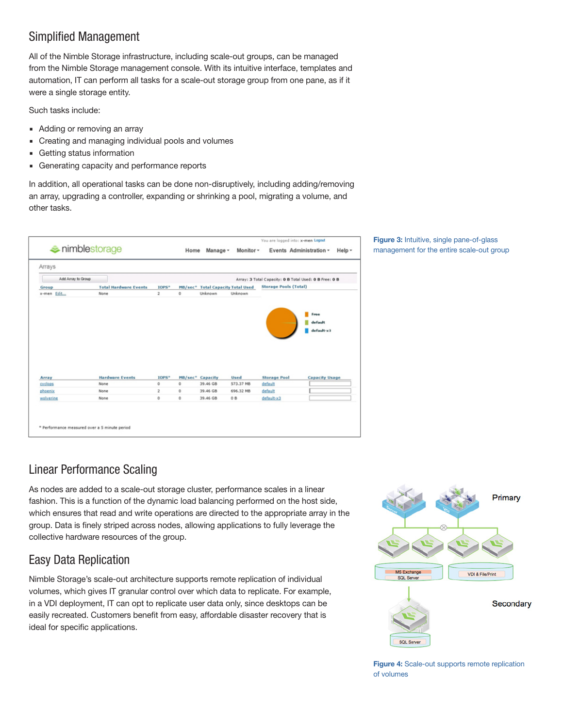## Simplified Management

All of the Nimble Storage infrastructure, including scale-out groups, can be managed from the Nimble Storage management console. With its intuitive interface, templates and automation, IT can perform all tasks for a scale-out storage group from one pane, as if it were a single storage entity.

Such tasks include:

- Adding or removing an array
- Creating and managing individual pools and volumes
- Getting status information
- **Generating capacity and performance reports**

In addition, all operational tasks can be done non-disruptively, including adding/removing an array, upgrading a controller, expanding or shrinking a pool, migrating a volume, and other tasks.

| Arrays             |                              |              |         |                                          |             |                                                        |                                                        |
|--------------------|------------------------------|--------------|---------|------------------------------------------|-------------|--------------------------------------------------------|--------------------------------------------------------|
| Add Array to Group |                              |              |         |                                          |             | Array: 3 Total Capacity: 0 B Total Used: 0 B Free: 0 B |                                                        |
| Group              | <b>Total Hardware Events</b> | IOPS*        |         | <b>MB/sec*</b> Total Capacity Total Used |             | <b>Storage Pools (Total)</b>                           |                                                        |
| x-men Edit         | None                         | 2            | 0       | Unknown                                  | Unknown     |                                                        |                                                        |
| Array              | <b>Hardware Events</b>       | IOPS*        |         | <b>MB/sec* Capacity</b>                  | <b>Used</b> | <b>Storage Pool</b>                                    | Free<br>default<br>default-x3<br><b>Capacity Usage</b> |
| cyclops            | None                         | $^{\circ}$   | 0       | 39.46 GB                                 | 573.37 MB   | default                                                |                                                        |
| phoenix            | None                         | $\mathbf{2}$ | $\circ$ | 39,46 GB                                 | 696.32 MB   | default                                                |                                                        |
| wolverine          | None                         | o            | o       | 39.46 GB                                 | 0B          | default-x3                                             |                                                        |

#### **Figure 3:** Intuitive, single pane-of-glass management for the entire scale-out group

# Linear Performance Scaling

As nodes are added to a scale-out storage cluster, performance scales in a linear fashion. This is a function of the dynamic load balancing performed on the host side, which ensures that read and write operations are directed to the appropriate array in the group. Data is finely striped across nodes, allowing applications to fully leverage the collective hardware resources of the group.

## Easy Data Replication

Nimble Storage's scale-out architecture supports remote replication of individual volumes, which gives IT granular control over which data to replicate. For example, in a VDI deployment, IT can opt to replicate user data only, since desktops can be easily recreated. Customers benefit from easy, affordable disaster recovery that is ideal for specific applications.



**Figure 4:** Scale-out supports remote replication of volumes